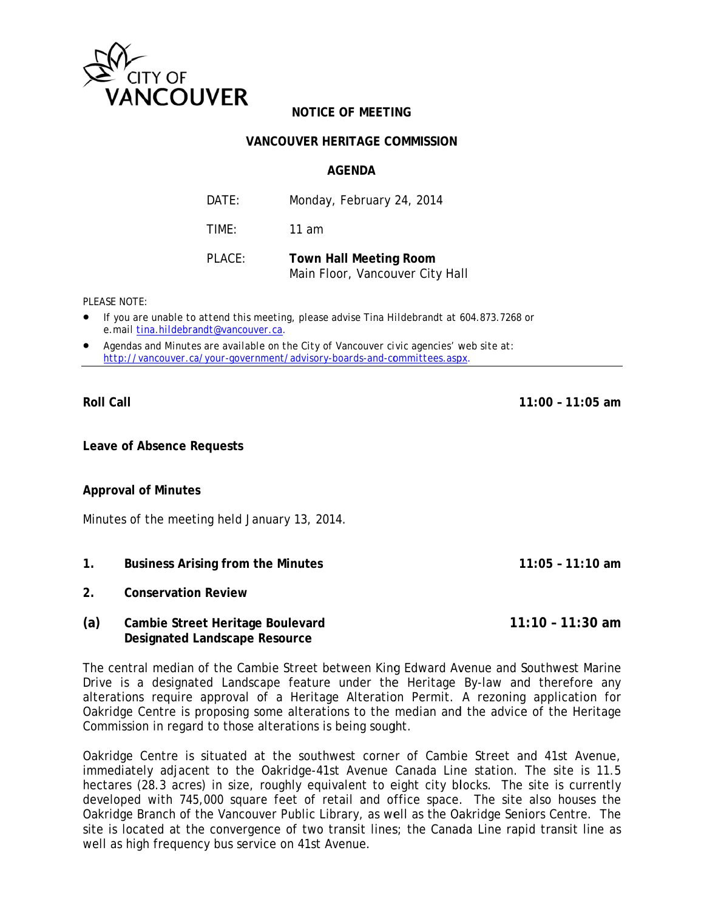

## **NOTICE OF MEETING**

## **VANCOUVER HERITAGE COMMISSION**

## **AGFNDA**

| DATE:  | Monday, February 24, 2014                                        |
|--------|------------------------------------------------------------------|
| TIMF:  | 11 am                                                            |
| PLACE: | <b>Town Hall Meeting Room</b><br>Main Floor, Vancouver City Hall |

PI FASE NOTE:

- If you are unable to attend this meeting, please advise Tina Hildebrandt at 604.873.7268 or e.mail tina.hildebrandt@vancouver.ca.
- Agendas and Minutes are available on the City of Vancouver civic agencies' web site at: http://vancouver.ca/your-government/advisory-boards-and-committees.aspx.

**Roll Call** 

 $11:00 - 11:05$  am

 $11:05 - 11:10$  am

Leave of Absence Requests

## **Approval of Minutes**

Minutes of the meeting held January 13, 2014.

- $1.$ **Business Arising from the Minutes**
- $2<sup>1</sup>$ **Conservation Review**
- $(a)$  $11:10 - 11:30$  am Cambie Street Heritage Boulevard **Designated Landscape Resource**

The central median of the Cambie Street between King Edward Avenue and Southwest Marine Drive is a designated Landscape feature under the Heritage By-law and therefore any alterations require approval of a Heritage Alteration Permit. A rezoning application for Oakridge Centre is proposing some alterations to the median and the advice of the Heritage Commission in regard to those alterations is being sought.

Oakridge Centre is situated at the southwest corner of Cambie Street and 41st Avenue, immediately adjacent to the Oakridge-41st Avenue Canada Line station. The site is 11.5 hectares (28.3 acres) in size, roughly equivalent to eight city blocks. The site is currently developed with 745,000 square feet of retail and office space. The site also houses the Oakridge Branch of the Vancouver Public Library, as well as the Oakridge Seniors Centre. The site is located at the convergence of two transit lines; the Canada Line rapid transit line as well as high frequency bus service on 41st Avenue.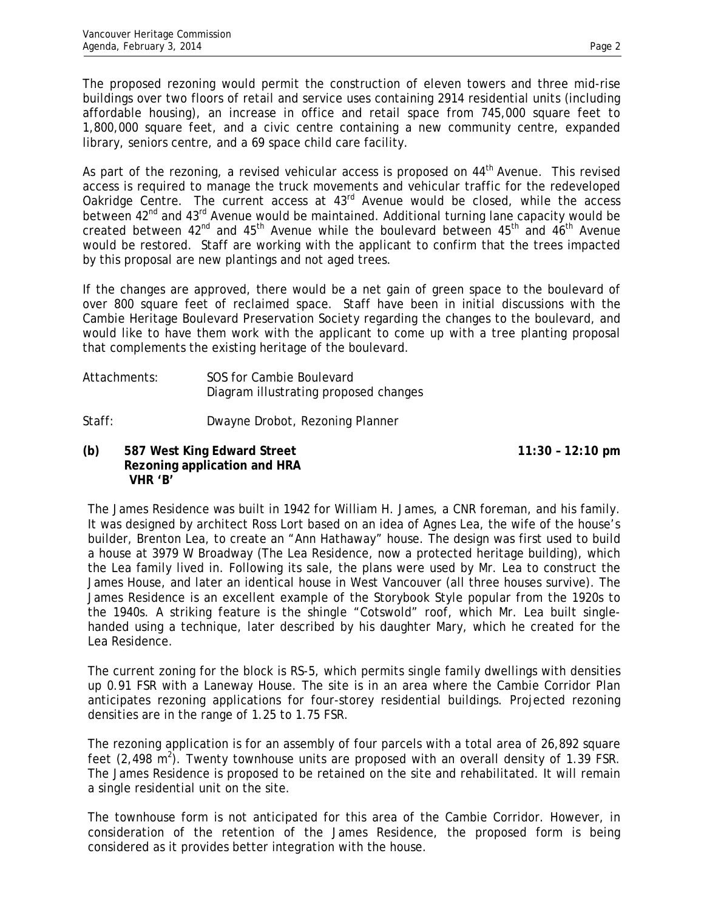The proposed rezoning would permit the construction of eleven towers and three mid-rise buildings over two floors of retail and service uses containing 2914 residential units (including affordable housing), an increase in office and retail space from 745,000 square feet to 1,800,000 square feet, and a civic centre containing a new community centre, expanded library, seniors centre, and a 69 space child care facility.

As part of the rezoning, a revised vehicular access is proposed on  $44<sup>th</sup>$  Avenue. This revised access is required to manage the truck movements and vehicular traffic for the redeveloped Oakridge Centre. The current access at 43<sup>rd</sup> Avenue would be closed, while the access between 42<sup>nd</sup> and 43<sup>rd</sup> Avenue would be maintained. Additional turning lane capacity would be created between  $42^{nd}$  and  $45^{th}$  Avenue while the boulevard between  $45^{th}$  and  $46^{th}$  Avenue would be restored. Staff are working with the applicant to confirm that the trees impacted by this proposal are new plantings and not aged trees.

If the changes are approved, there would be a net gain of green space to the boulevard of over 800 square feet of reclaimed space. Staff have been in initial discussions with the Cambie Heritage Boulevard Preservation Society regarding the changes to the boulevard, and would like to have them work with the applicant to come up with a tree planting proposal that complements the existing heritage of the boulevard.

Attachments: SOS for Cambie Boulevard Diagram illustrating proposed changes

Staff: Dwayne Drobot, Rezoning Planner

**(b) 587 West King Edward Street 11:30 – 12:10 pm Rezoning application and HRA VHR 'B'** 

The James Residence was built in 1942 for William H. James, a CNR foreman, and his family. It was designed by architect Ross Lort based on an idea of Agnes Lea, the wife of the house's builder, Brenton Lea, to create an "Ann Hathaway" house. The design was first used to build a house at 3979 W Broadway (The Lea Residence, now a protected heritage building), which the Lea family lived in. Following its sale, the plans were used by Mr. Lea to construct the James House, and later an identical house in West Vancouver (all three houses survive). The James Residence is an excellent example of the Storybook Style popular from the 1920s to the 1940s. A striking feature is the shingle "Cotswold" roof, which Mr. Lea built singlehanded using a technique, later described by his daughter Mary, which he created for the Lea Residence.

The current zoning for the block is RS-5, which permits single family dwellings with densities up 0.91 FSR with a Laneway House. The site is in an area where the Cambie Corridor Plan anticipates rezoning applications for four-storey residential buildings. Projected rezoning densities are in the range of 1.25 to 1.75 FSR.

The rezoning application is for an assembly of four parcels with a total area of 26,892 square feet  $(2,498 \text{ m}^2)$ . Twenty townhouse units are proposed with an overall density of 1.39 FSR. The James Residence is proposed to be retained on the site and rehabilitated. It will remain a single residential unit on the site.

The townhouse form is not anticipated for this area of the Cambie Corridor. However, in consideration of the retention of the James Residence, the proposed form is being considered as it provides better integration with the house.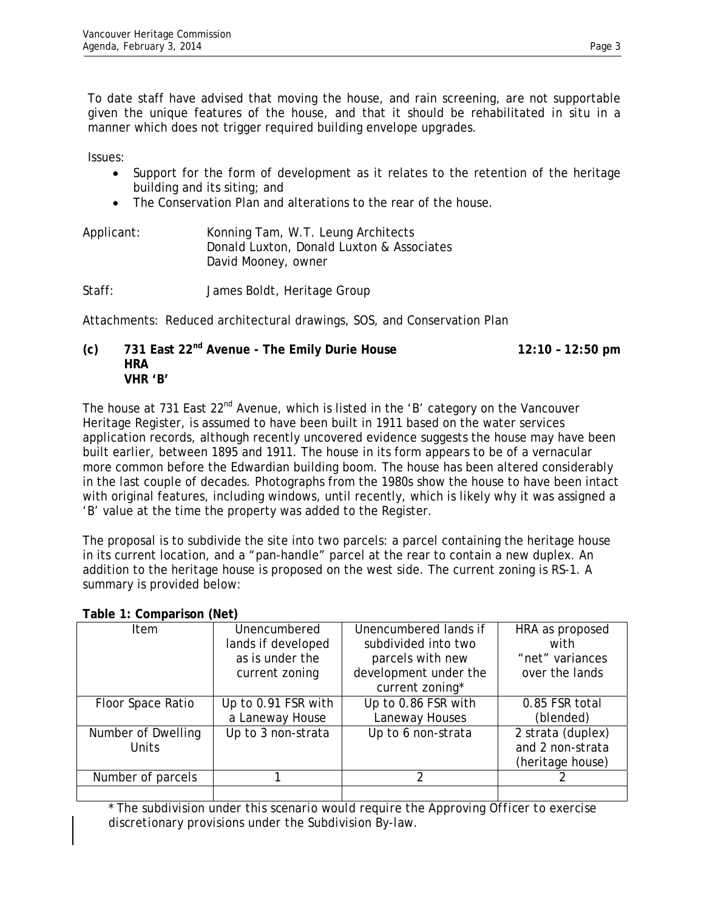To date staff have advised that moving the house, and rain screening, are not supportable given the unique features of the house, and that it should be rehabilitated *in situ* in a manner which does not trigger required building envelope upgrades.

Issues:

- Support for the form of development as it relates to the retention of the heritage building and its siting; and
- The Conservation Plan and alterations to the rear of the house.

| Applicant: | Konning Tam, W.T. Leung Architects        |
|------------|-------------------------------------------|
|            | Donald Luxton, Donald Luxton & Associates |
|            | David Mooney, owner                       |

Staff: James Boldt, Heritage Group

Attachments: Reduced architectural drawings, SOS, and Conservation Plan

**(c) 731 East 22nd Avenue - The Emily Durie House 12:10 – 12:50 pm HRA VHR 'B'** 

The house at 731 East  $22^{nd}$  Avenue, which is listed in the 'B' category on the Vancouver Heritage Register, is assumed to have been built in 1911 based on the water services application records, although recently uncovered evidence suggests the house may have been built earlier, between 1895 and 1911. The house in its form appears to be of a vernacular more common before the Edwardian building boom. The house has been altered considerably in the last couple of decades. Photographs from the 1980s show the house to have been intact with original features, including windows, until recently, which is likely why it was assigned a 'B' value at the time the property was added to the Register.

The proposal is to subdivide the site into two parcels: a parcel containing the heritage house in its current location, and a "pan-handle" parcel at the rear to contain a new duplex. An addition to the heritage house is proposed on the west side. The current zoning is RS-1. A summary is provided below:

| Item               | Unencumbered        | Unencumbered lands if | HRA as proposed   |
|--------------------|---------------------|-----------------------|-------------------|
|                    | lands if developed  | subdivided into two   | with              |
|                    | as is under the     | parcels with new      | "net" variances   |
|                    | current zoning      | development under the | over the lands    |
|                    |                     | current zoning*       |                   |
| Floor Space Ratio  | Up to 0.91 FSR with | Up to 0.86 FSR with   | 0.85 FSR total    |
|                    | a Laneway House     | Laneway Houses        | (blended)         |
| Number of Dwelling | Up to 3 non-strata  | Up to 6 non-strata    | 2 strata (duplex) |
| <b>Units</b>       |                     |                       | and 2 non-strata  |
|                    |                     |                       | (heritage house)  |
| Number of parcels  |                     | $\mathcal{P}$         |                   |
|                    |                     |                       |                   |

**Table 1: Comparison (Net)** 

\* *The subdivision under this scenario would require the Approving Officer to exercise discretionary provisions under the Subdivision By-law.*